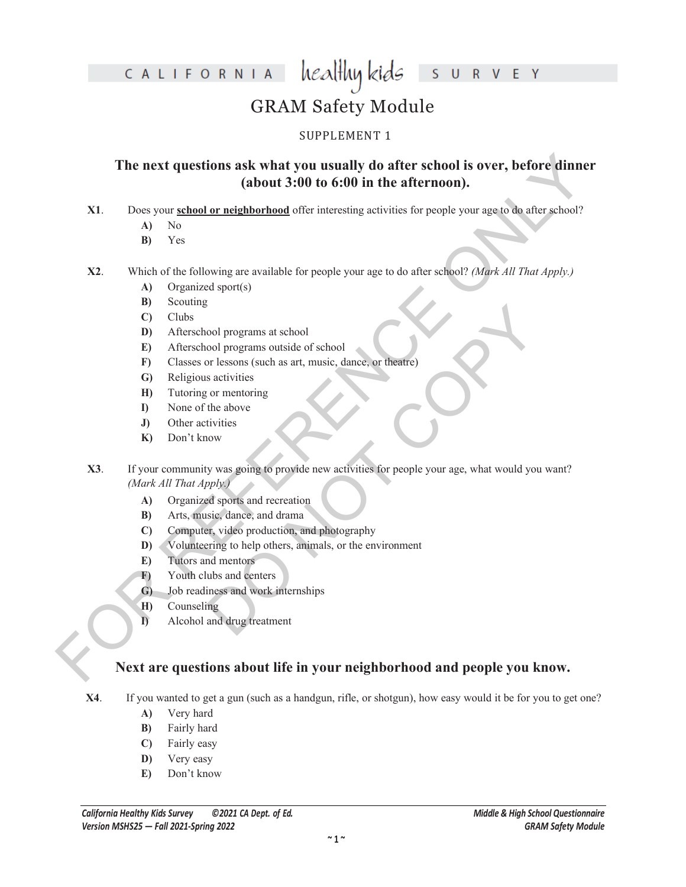healthy kids CALIFORNIA

U R V E Y

## GRAM Safety Module

## SUPPLEMENT 1

# The next questions ask what you usually do after school is over, before dinner (about 3:00 to 6:00 in the afternoon).<br>
X1. Does your <u>school or neighborhood</u> offer interesting activities for people your age (obtailed a di **The next questions ask what you usually do after school is over, before dinner (about 3:00 to 6:00 in the afternoon).**

#### **X1**. Does your **school or neighborhood** offer interesting activities for people your age to do after school?

- **A)** No
- **B)** Yes
- **X2**. Which of the following are available for people your age to do after school? *(Mark All That Apply.)*
	- **A)** Organized sport(s)
	- **B)** Scouting
	- **C)** Clubs
	- **D)** Afterschool programs at school
	- **E)** Afterschool programs outside of school
	- **F)** Classes or lessons (such as art, music, dance, or theatre)
	- **G)** Religious activities
	- **H)** Tutoring or mentoring
	- **I)** None of the above
	- **J)** Other activities
	- **K)** Don't know
- ool programs at school<br>
ool programs outside of school<br>
or lessons (such as art, music, dance, or theatre)<br>
s activities<br>
scativities<br>
or mentoring<br>
the above<br>
tivities<br>
on<br>
y was going to provide new activities for people **X3**. If your community was going to provide new activities for people your age, what would you want? *(Mark All That Apply.)*
	- **A)** Organized sports and recreation
	- **B)** Arts, music, dance, and drama
	- **C)** Computer, video production, and photography
	- **D)** Volunteering to help others, animals, or the environment
	- **E)** Tutors and mentors
	- **F)** Youth clubs and centers
	- **G)** Job readiness and work internships
	- **H)** Counseling
	- **I)** Alcohol and drug treatment

## **Next are questions about life in your neighborhood and people you know.**

**X4**. If you wanted to get a gun (such as a handgun, rifle, or shotgun), how easy would it be for you to get one?

- **A)** Very hard
- **B)** Fairly hard
- **C)** Fairly easy
- **D)** Very easy
- **E)** Don't know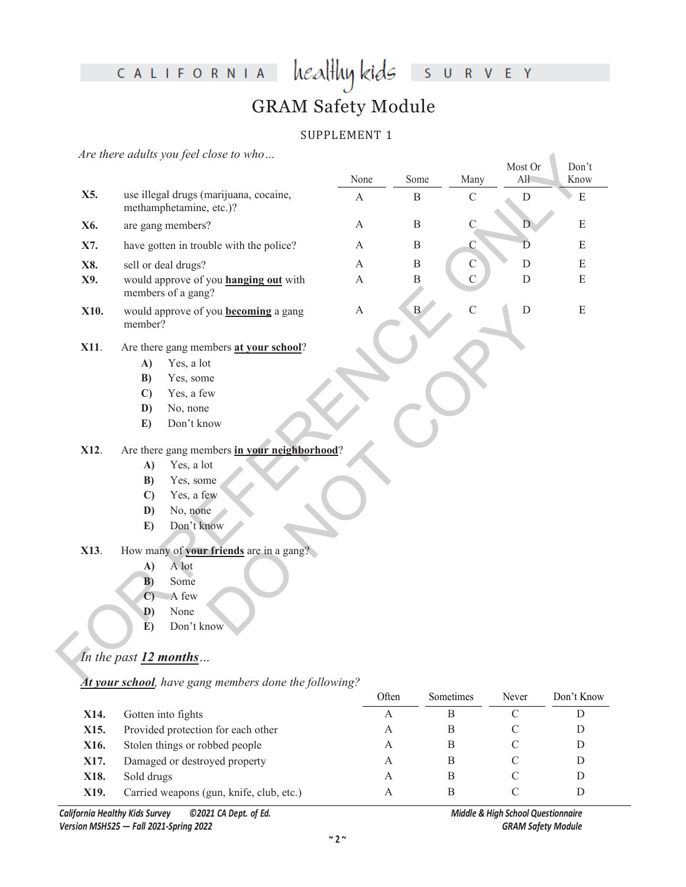CALIFORNIA

healthykids surver

# GRAM Safety Module

#### SUPPLEMENT 1

*Are there adults you feel close to who…*

|      |              |                                                                    | None                      | Some         | Many           | Most Or<br>All | Don't<br>Know |
|------|--------------|--------------------------------------------------------------------|---------------------------|--------------|----------------|----------------|---------------|
| X5.  |              | use illegal drugs (marijuana, cocaine,<br>methamphetamine, etc.)?  | $\mathbf{A}$              | $\, {\bf B}$ | $\mathcal{C}$  | $\mathbf D$    | ${\bf E}$     |
| X6.  |              | are gang members?                                                  | $\mathbf{A}$              | $\, {\bf B}$ | $\mathbf C$    | D.             | ${\bf E}$     |
| X7.  |              | have gotten in trouble with the police?                            | $\mathbf{A}$              | $\mathbf B$  | $\mathbf{C}$   | D              | ${\bf E}$     |
| X8.  |              | sell or deal drugs?                                                | $\mathbf{A}$              | $\, {\bf B}$ | $\mathbf C$    | $\mathbf D$    | ${\bf E}$     |
| X9.  |              | would approve of you <b>hanging out</b> with<br>members of a gang? | $\boldsymbol{\mathsf{A}}$ | $\, {\bf B}$ | $\overline{C}$ | ${\rm D}$      | ${\bf E}$     |
| X10. | member?      | would approve of you <b>becoming</b> a gang                        | $\boldsymbol{A}$          | $\, {\bf B}$ | $\mathcal{C}$  | ${\rm D}$      | ${\bf E}$     |
| X11. |              | Are there gang members at your school?                             |                           |              |                |                |               |
|      | A)           | Yes, a lot                                                         |                           |              |                |                |               |
|      | B)           | Yes, some                                                          |                           |              |                |                |               |
|      | $\mathbf{C}$ | Yes, a few                                                         |                           |              |                |                |               |
|      | D)           | No, none                                                           |                           |              |                |                |               |
|      | E)           | Don't know                                                         |                           |              |                |                |               |
| X12. |              | Are there gang members in your neighborhood?                       |                           |              |                |                |               |
|      | A)           | Yes, a lot                                                         |                           |              |                |                |               |
|      | B)           | Yes, some                                                          |                           |              |                |                |               |
|      | $\mathbf{C}$ | Yes, a few                                                         |                           |              |                |                |               |
|      | D)           | No, none                                                           |                           |              |                |                |               |
|      | E)           | Don't know                                                         |                           |              |                |                |               |
| X13. |              | How many of your friends are in a gang?                            |                           |              |                |                |               |
|      | A)           | A lot                                                              |                           |              |                |                |               |
|      | B)           | Some                                                               |                           |              |                |                |               |
|      | $\mathbf{C}$ | A few                                                              |                           |              |                |                |               |
|      | D)           | None                                                               |                           |              |                |                |               |
|      | Ē)           | Don't know                                                         |                           |              |                |                |               |
|      |              | In the past 12 months                                              |                           |              |                |                |               |

#### *In the past 12 months…*

#### *At your school, have gang members done the following?*

|      |                                          | Often | <b>Sometimes</b> | Never | Don't Know |
|------|------------------------------------------|-------|------------------|-------|------------|
| X14. | Gotten into fights                       | А     | В                |       |            |
| X15. | Provided protection for each other       | А     | В                |       |            |
| X16. | Stolen things or robbed people           | A     | В                |       | D          |
| X17. | Damaged or destroyed property            | А     | В                |       |            |
| X18. | Sold drugs                               | А     | В                |       |            |
| X19. | Carried weapons (gun, knife, club, etc.) |       | В                |       |            |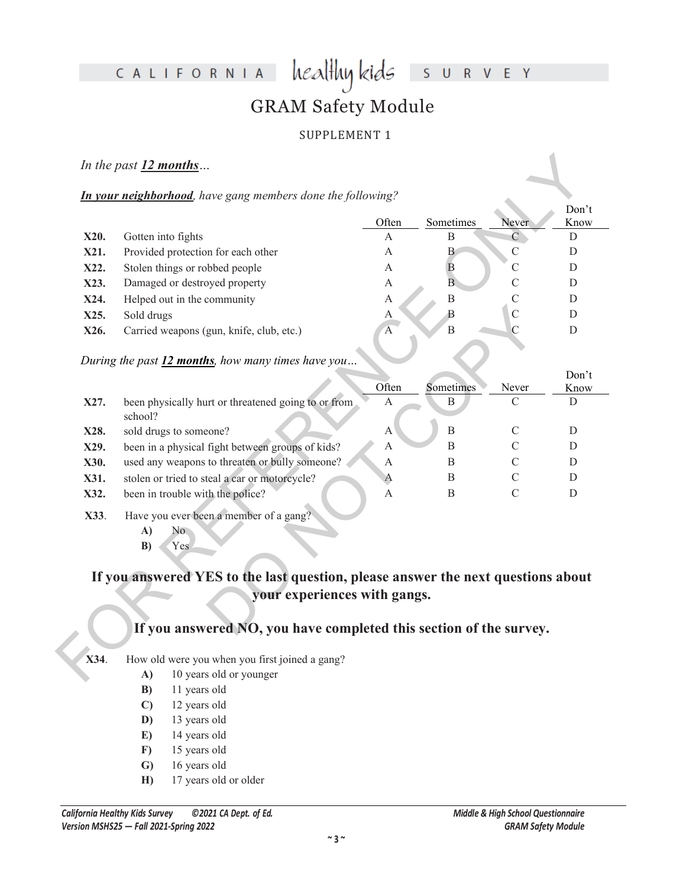CALIFORNIA

healthy kids U R V E Y  $\overline{S}$ 

# GRAM Safety Module

#### SUPPLEMENT 1

#### *In the past 12 months…*

|      |                                                                                  | <b>In your neighborhood</b> , have gang members done the following? |                |                | Don't         |
|------|----------------------------------------------------------------------------------|---------------------------------------------------------------------|----------------|----------------|---------------|
|      |                                                                                  | Often                                                               | Sometimes      | Never          | Know          |
| X20. | Gotten into fights                                                               | A                                                                   | B              | С              | D             |
| X21. | Provided protection for each other                                               | А                                                                   | Β              | $\mathcal{C}$  | D             |
| X22. | Stolen things or robbed people                                                   | А                                                                   | B              | $\mathcal{C}$  | D             |
| X23. | Damaged or destroyed property                                                    | А                                                                   | $\overline{B}$ | $\overline{C}$ | D             |
| X24. | Helped out in the community                                                      | $\overline{A}$                                                      | B              | $\overline{C}$ | D             |
| X25. | Sold drugs                                                                       | A                                                                   | B              | $\mathbf C$    | D             |
| X26. | Carried weapons (gun, knife, club, etc.)                                         | $\overline{A}$                                                      | $\overline{B}$ | $\mathsf{C}$   | D             |
|      | During the past 12 months, how many times have you                               |                                                                     |                |                |               |
|      |                                                                                  | Often                                                               | Sometimes      | Never          | Don't<br>Know |
| X27. | been physically hurt or threatened going to or from<br>school?                   | А                                                                   | B              | C              | D             |
| X28. | sold drugs to someone?                                                           | А                                                                   | $\mathbf B$    | $\mathcal{C}$  | D             |
| X29. | been in a physical fight between groups of kids?                                 | А                                                                   | B              | $\mathcal{C}$  | D             |
| X30. | used any weapons to threaten or bully someone?                                   | A                                                                   | B              | $\mathcal{C}$  | D             |
| X31. | stolen or tried to steal a car or motorcycle?                                    | Α                                                                   | B              | $\overline{C}$ | D             |
| X32. | been in trouble with the police?                                                 | A                                                                   | B              | $\mathcal{C}$  | D             |
| X33. | Have you ever been a member of a gang?                                           |                                                                     |                |                |               |
|      | A)<br>No.                                                                        |                                                                     |                |                |               |
|      | B)<br>Yes                                                                        |                                                                     |                |                |               |
|      | If you answered YES to the last question, please answer the next questions about |                                                                     |                |                |               |
|      | your experiences with gangs.                                                     |                                                                     |                |                |               |
|      |                                                                                  |                                                                     |                |                |               |
|      | If you answered NO, you have completed this section of the survey.               |                                                                     |                |                |               |

## *During the past 12 months, how many times have you…*

| X25.                                                                             | Sold drugs                                                         | A              | B            |               | D             |  |  |  |
|----------------------------------------------------------------------------------|--------------------------------------------------------------------|----------------|--------------|---------------|---------------|--|--|--|
| X26.                                                                             | Carried weapons (gun, knife, club, etc.)                           | $\overline{A}$ | B            |               | D             |  |  |  |
|                                                                                  |                                                                    |                |              |               |               |  |  |  |
| During the past 12 months, how many times have you                               |                                                                    |                |              |               |               |  |  |  |
|                                                                                  |                                                                    | Often          | Sometimes    | Never         | Don't<br>Know |  |  |  |
| X27.                                                                             | been physically hurt or threatened going to or from                | A              | B            | C             | D             |  |  |  |
|                                                                                  | school?                                                            |                |              |               |               |  |  |  |
| X28.                                                                             | sold drugs to someone?                                             | A              | $\, {\bf B}$ | C             | D             |  |  |  |
| X29.                                                                             | been in a physical fight between groups of kids?                   | A              | B            |               | D             |  |  |  |
| X30.                                                                             | used any weapons to threaten or bully someone?                     | A              | B            |               | D             |  |  |  |
| X31.                                                                             | stolen or tried to steal a car or motorcycle?                      | A              | B            |               | D             |  |  |  |
| X32.                                                                             | been in trouble with the police?                                   | A              | B            | $\mathcal{C}$ | D             |  |  |  |
| X33.                                                                             | Have you ever been a member of a gang?                             |                |              |               |               |  |  |  |
|                                                                                  | N <sub>o</sub><br>A)                                               |                |              |               |               |  |  |  |
|                                                                                  | Yes<br>B)                                                          |                |              |               |               |  |  |  |
|                                                                                  |                                                                    |                |              |               |               |  |  |  |
| If you answered YES to the last question, please answer the next questions about |                                                                    |                |              |               |               |  |  |  |
| your experiences with gangs.                                                     |                                                                    |                |              |               |               |  |  |  |
|                                                                                  |                                                                    |                |              |               |               |  |  |  |
|                                                                                  | If you answered NO, you have completed this section of the survey. |                |              |               |               |  |  |  |

- **X33**. Have you ever been a member of a gang?
	- **A)** No **B)** Yes

## **If you answered NO, you have completed this section of the survey.**

- **A)** 10 years old or younger
- **B)** 11 years old
- **C)** 12 years old
- **D)** 13 years old
- **E)** 14 years old
- **F)** 15 years old
- **G)** 16 years old
- **H)** 17 years old or older